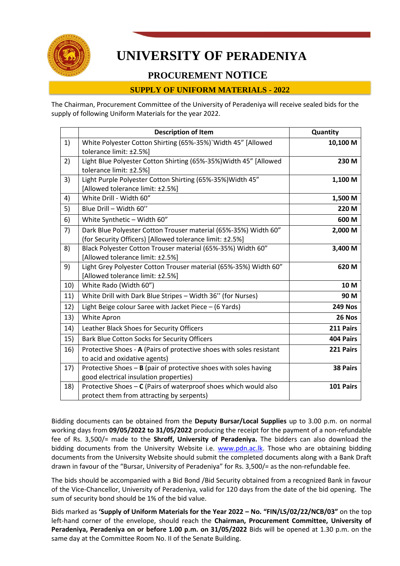

# **UNIVERSITY OF PERADENIYA**

## **PROCUREMENT NOTICE**

## **SUPPLY OF UNIFORM MATERIALS - 2022**

The Chairman, Procurement Committee of the University of Peradeniya will receive sealed bids for the supply of following Uniform Materials for the year 2022.

|     | <b>Description of Item</b>                                                                                                  | Quantity       |
|-----|-----------------------------------------------------------------------------------------------------------------------------|----------------|
| 1)  | White Polyester Cotton Shirting (65%-35%)`Width 45" [Allowed<br>tolerance limit: ±2.5%]                                     | 10,100 M       |
| 2)  | Light Blue Polyester Cotton Shirting (65%-35%) Width 45" [Allowed<br>tolerance limit: ±2.5%]                                | 230 M          |
| 3)  | Light Purple Polyester Cotton Shirting (65%-35%) Width 45"<br>[Allowed tolerance limit: ±2.5%]                              | 1,100 M        |
| 4)  | White Drill - Width 60"                                                                                                     | 1,500 M        |
| 5)  | Blue Drill - Width 60"                                                                                                      | 220 M          |
| 6)  | White Synthetic - Width 60"                                                                                                 | 600 M          |
| 7)  | Dark Blue Polyester Cotton Trouser material (65%-35%) Width 60"<br>(for Security Officers) [Allowed tolerance limit: ±2.5%] | 2,000 M        |
| 8)  | Black Polyester Cotton Trouser material (65%-35%) Width 60"<br>[Allowed tolerance limit: ±2.5%]                             | 3,400 M        |
| 9)  | Light Grey Polyester Cotton Trouser material (65%-35%) Width 60"<br>[Allowed tolerance limit: ±2.5%]                        | 620 M          |
| 10) | White Rado (Width 60")                                                                                                      | 10 M           |
| 11) | White Drill with Dark Blue Stripes - Width 36" (for Nurses)                                                                 | 90 M           |
| 12) | Light Beige colour Saree with Jacket Piece - (6 Yards)                                                                      | <b>249 Nos</b> |
| 13) | White Apron                                                                                                                 | 26 Nos         |
| 14) | Leather Black Shoes for Security Officers                                                                                   | 211 Pairs      |
| 15) | <b>Bark Blue Cotton Socks for Security Officers</b>                                                                         | 404 Pairs      |
| 16) | Protective Shoes - A (Pairs of protective shoes with soles resistant<br>to acid and oxidative agents)                       | 221 Pairs      |
| 17) | Protective Shoes $-$ B (pair of protective shoes with soles having<br>good electrical insulation properties)                | 38 Pairs       |
| 18) | Protective Shoes - C (Pairs of waterproof shoes which would also<br>protect them from attracting by serpents)               | 101 Pairs      |

Bidding documents can be obtained from the **Deputy Bursar/Local Supplies** up to 3.00 p.m. on normal working days from **09/05/2022 to 31/05/2022** producing the receipt for the payment of a non-refundable fee of Rs. 3,500/= made to the **Shroff, University of Peradeniya.** The bidders can also download the bidding documents from the University Website i.e. [www.pdn.ac.lk.](http://www.pdn.ac.lk/) Those who are obtaining bidding documents from the University Website should submit the completed documents along with a Bank Draft drawn in favour of the "Bursar, University of Peradeniya" for Rs. 3,500/= as the non-refundable fee.

The bids should be accompanied with a Bid Bond /Bid Security obtained from a recognized Bank in favour of the Vice-Chancellor, University of Peradeniya, valid for 120 days from the date of the bid opening. The sum of security bond should be 1% of the bid value.

Bids marked as **'Supply of Uniform Materials for the Year 2022 – No. "FIN/LS/02/22/NCB/03"** on the top left-hand corner of the envelope, should reach the **Chairman, Procurement Committee, University of Peradeniya, Peradeniya on or before 1.00 p.m. on 31/05/2022** Bids will be opened at 1.30 p.m. on the same day at the Committee Room No. II of the Senate Building.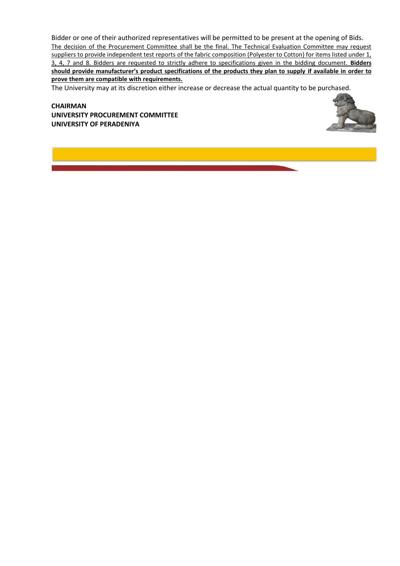Bidder or one of their authorized representatives will be permitted to be present at the opening of Bids. The decision of the Procurement Committee shall be the final. The Technical Evaluation Committee may request suppliers to provide independent test reports of the fabric composition (Polyester to Cotton) for items listed under 1, 3, 4, 7 and 8. Bidders are requested to strictly adhere to specifications given in the bidding document. **Bidders should provide manufacturer's product specifications of the products they plan to supply if available in order to prove them are compatible with requirements.**

The University may at its discretion either increase or decrease the actual quantity to be purchased.

**CHAIRMAN UNIVERSITY PROCUREMENT COMMITTEE UNIVERSITY OF PERADENIYA**

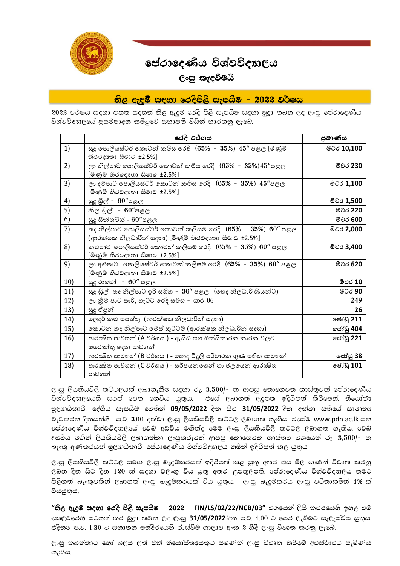

## පේරාදෙණිය විශ්වවිදහලය

## $C$ ංසු ක $t$ දවීමයි

 $\mathfrak{H}$ ලු ඇඳුම් සඳහා රෙදිපිලි සැපයීම -  $2022$  වර්ෂය

2022 වර්පය සදහා පහත සදහත් නිල ඇදුම් රෙදි පිලි සැපයීම සදහා මූදුා තබන ලද ලංසු පේරාදෙණිය විශ්වවිද $m$ ලයේ පුසම්පාදන කමිටුවේ සභාපති විසින් භාරගනු ලැබේ.

|     | රෙදි වර්ගය                                                                                                                     | පුමාණය            |
|-----|--------------------------------------------------------------------------------------------------------------------------------|-------------------|
| 1)  | සුදු පොලියස්ටර් කොටන් කමිස රෙදි $(65\%$ - $35\%)$ $45\%$ පළල [මිණුම්<br>තිරවදාගා සීමාව ±2.5%]                                  | මීටර 10,100       |
| 2)  | ලා නිල්පාට පොලියස්ටර් කොටන් කමිස රෙදි $(65\%$ - $35\%)45$ "පළල<br>[මිණුම් තිරවදාඃතා සීමාව ±2.5%]                               | මීටර 230          |
| 3)  | ලා දම්පාට පොලියස්ටර් කොටන් කමිස රෙදි $(65\%$ - $35\%)$ $45\%$ පළල<br>[මිණුම් තිරවදෳතා සීමාව ±2.5%]                             | මීටර 1,100        |
| 4)  | සුදු ඩුල් - $60''$ පළල                                                                                                         | මීටර 1,500        |
| 5)  | නිල් ඩිල් - 60"පළල                                                                                                             | මීටර 220          |
| 6)  | සුදු සින්තටික් - $60''$ පළල                                                                                                    | මීටර 600          |
| 7)  | තද නිල්පාට පොලියස්ටර් කොටන් කලිසම් රෙදි $(65\%$ - $35\%)$ $60\%$ පළල<br>(ආරක්ෂක නිලධාරීන් සදහා) [මිණුම් නිරවදාඃතා සීමාව ±2.5%] | මීටර 2,000        |
| 8)  | කළුපාට පොලියස්ටර් කොටන් කලිසම් රෙදි $(65\%$ - $35\%)$ $60\%$ පළල<br>[මිණුම් තිරවදෳතා සීමාව ±2.5%]                              | මීටර 3,400        |
| 9)  | ලා අළුපාට  පොලියස්ටර් කොටන් කලිසම් රෙදි $(65\%$ - $35\%)$ $60\%$ පළල<br>[මිණුම් තිරවදෳතා සීමාව ±2.5%]                          | මීටර 620          |
| 10) | සුදු රාඩෝ - $60''$ පළල                                                                                                         | මීටර 10           |
| 11) | සුදු ඩුල් තද නිල්පාට ඉරි සහිත - 36" පළල (හෙද නිලධාරිණියන්ට)                                                                    | මීටර 90           |
| 12) | ලා කීම් පාට සාරි, හැට්ට රෙදි සමග - යාර 06                                                                                      | 249               |
| 13) | සුදු ඒපුන්                                                                                                                     | 26                |
| 14) | ලෙදර් කළු සපත්තු (ආරක්ෂක නිලධාරීන් සදහා)                                                                                       | ලජාඩ් 211         |
| 15) | කොටන් තද නිල්පාට මේස් කුට්ටම් (ආරක්ෂක නිලධාරීන් සදහා)                                                                          | ලජ <b>ාඩු</b> 404 |
| 16) | ආරක්ෂිත පාවහන් (A වර්ගය ) - ඇසිඩ් සහ ඔක්සිකාරක කාරක වලට<br>ඔරොත්තු දෙන පාවහන්                                                  | ජෝඩු 221          |
| 17) | ආරක්ෂිත පාවහන් (B වර්ගය ) - හොද විදූලි පරිවාරක ගුණ සහිත පාවහන්                                                                 | ජෝඩු 38           |
| 18) | ආරක්ෂිත පාවහන් (C වර්ගය ) - සර්පයන්ගෙන් හා ජලයෙන් ආරක්ෂිත<br>පාවහන්                                                            | ලජාඩු <b>101</b>  |

ලංසු ලියකියවිලි කට්ටලයක් ලබාගැනීම සදහා රු. 3,500/- ක ආපසු නොගෙවන ගාස්තුවක් පේරාදෙණිය විශ්වවිද $n$ )ලයෙහි සරප් වෙත ගෙවිය යුතුය. එසේ ලබාගත් ලදුපත ඉදිරිපත් කිරීමෙන්, නියෝජා මලාාධිකාරී, දේශීය සැපයීම් වෙතින් **09/05/2022** දින සිට 31/05/2022 දින දක්වා සතියේ සාමානා වැඩකරන දිනයන්හී ප.ව.  $3.00$  දක්වා ලංසු ලියකියවිලි කටිටල ලබාගත හැකිය. එසේම www.pdn.ac.lk යන පේරාදෙණිය විශ්වවිදාාලයේ වෙබ් අඩවිය මගින්ද මෙම ලංසු ලියකියවිලි කට්ටල ලබාගත හැකිය. වෙබ් අඩවිය මගින් ලියකියවිලි ලබාගන්නා ලංසුකරුවන් ආපසු නොගෙවන ගාස්තුව වශයෙන් රු.  $3,500/-$  ක බැංකු අණකරයක් මුල $n$ ධිකාරී, පේරාදෙණිය විශ්වවිද $n$ )ලය නමින් ඉදිරිපත් කළ යුතුය.

ලංසු ලියකියවිලි කට්ටල සමග ලංසු බැදුම්කරයක් ඉදිරිපත් කළ යුතු අතර එය මිල ගණන් විවෘත කරනු ලබන දින සිට දින 120 ක් සදහා වලංගු විය යුතු අතර, උපකුලපති, පේරාදෙණිය විශ්වවිදාගලය නමට පිලිගත් බැංකුවකින් ලබාගත් ලංසු බැදුම්කරයක් විය යුතුය. ලංසු බැදුම්කරය ලංසු වටිනාකමින් 1% ක් වියයුතුය.

<mark>"නිල ඇදම් සදහා රෙදි පිලි සැපයීම – 2022 – FIN/LS/02/22/NCB/03" වශයෙන් ලිපි කවරයෙහි ඉහල වම්</mark> කෙලවරෙහි සටහන් කර මුදා තබන ලද ලංසු **31/05/2022** දින ප.ව. 1.00 ට පෙර ලැබීමට සැලැස්විය යුතුය. එදිනම ප.ව.  $1.30$  ට සනාතන මන්දිරයෙහි රැස්වීම් ශාලාව අංක 2 හීදි ලංසු විවෘත කරනු ලැබේ.

ලංසු තබන්නාට හෝ බලය ලත් එක් නියෝජිතයෙකුට පමණක් ලංසු විවෘත කිරීමේ අවස්ථාවට පැමිණිය හැකිය.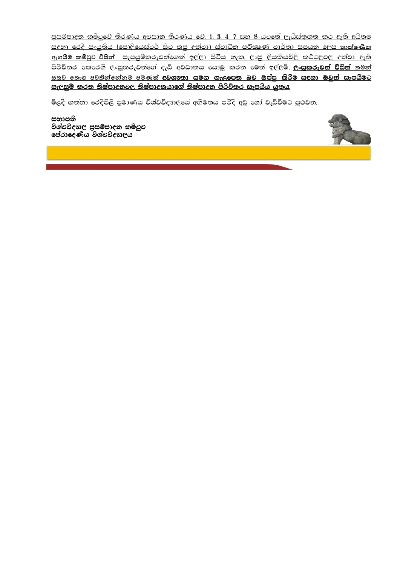<u>පුසම්පාදන කම්ටුවේ තීරණය අවසාන තීරණය වේ. 1, 3, 4, 7 සහ 8 යටතේ ලැයිස්තුගත කර ඇති අයිතම</u> <u>සඳහා රෙදි සංයුතිය (පොලියෙස්ටර් සිට කපු දක්වා) ස්වාධීන පරීකෂණ වාර්තා සපයන ලෙස කාක්ෂණික</u> <u>ඇගයීම් කමිටුව විසින් සැපයුම්කරුවන්ගෙන් ඉල්ලා සිටිය හැක. ලංසු ලියකියවිලි කට්ටලවල දක්වා ඇති</u> <u>පිරිවිතර කෙරෙහි ලංසූකරුවන්ගේ දැඩි අවධානය යොමු කරන මෙන් ඉල්ලම්. **ලංසූකරුවන් විසින්** තමන්</u> <u>සතුව තොග පවතින්තෝනම් පමණක් <mark>අවශානා සමග</mark> ගැලපෙන බව ඔප්පු කිරීම සඳහා ඔවුන් සැපයීමට</u> <u>සැලසුම් කරන නිෂ්පාදතවල නිෂ්පාදකයාගේ නිෂ්පාදන පිරිවිතර සැපයිය යුතුය.</u>

මිලදී ගන්නා රෙදිපිලි පුමාණය විශ්වවිදාගලයේ අභිමතය පරිදි අඩු හෝ වැඩිවීමට පුථවත.

සභාපති විශ්වවිදාගල පුසම්පාදන කමිටුව පේරාදෙණිය විශ්වවිදහලය

֦ i

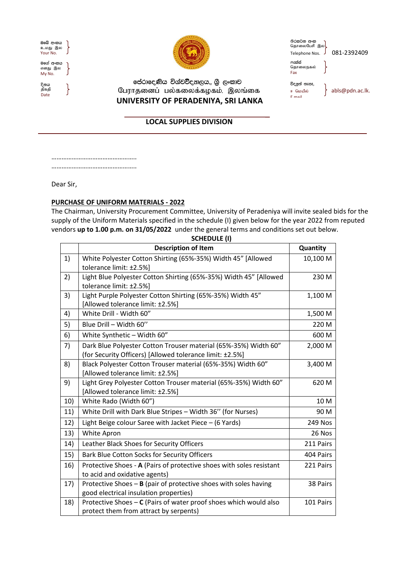| ඔබේ අංකය<br>உமது இல<br>Your No. |  |
|---------------------------------|--|
| මගේ අංකය<br>எனது இல<br>Mv No.   |  |
| දිනය<br>திகதி                   |  |

Date



පේරාදෙණිය විශ්වව්දනාලය,, ශුි ලංකාව  $\,\int$   $\,$   $\,$   $\,$   $\,$  பேராதனைப் பல்கலைக்கழகம், இலங்கை  **UNIVERSITY OF PERADENIYA, SRI LANKA**

තිරකථන අංක<br>தொலைபேசி இல<mark>)</mark> Telephone Nos. J 081-2392409 ෆැක්ස්<br>தொலைநகல்

විදයුත් තැපැ, E mail

Fax

ஈ மெயீல் | abls@pdn.ac.lk.

## **LOCAL SUPPLIES DIVISION**

………………………………………….. …………………………………………..

Dear Sir,

### **PURCHASE OF UNIFORM MATERIALS - 2022**

The Chairman, University Procurement Committee, University of Peradeniya will invite sealed bids for the supply of the Uniform Materials specified in the schedule (I) given below for the year 2022 from reputed vendors **up to 1.00 p.m. on 31/05/2022** under the general terms and conditions set out below.

|     | וין שטשוויטכ                                                         |           |
|-----|----------------------------------------------------------------------|-----------|
|     | <b>Description of Item</b>                                           | Quantity  |
| 1)  | White Polyester Cotton Shirting (65%-35%) Width 45" [Allowed         | 10,100 M  |
|     | tolerance limit: ±2.5%]                                              |           |
| 2)  | Light Blue Polyester Cotton Shirting (65%-35%) Width 45" [Allowed    | 230 M     |
|     | tolerance limit: ±2.5%]                                              |           |
| 3)  | Light Purple Polyester Cotton Shirting (65%-35%) Width 45"           | 1,100 M   |
|     | [Allowed tolerance limit: ±2.5%]                                     |           |
| 4)  | White Drill - Width 60"                                              | 1,500 M   |
| 5)  | Blue Drill - Width 60"                                               | 220 M     |
| 6)  | White Synthetic - Width 60"                                          | 600 M     |
| 7)  | Dark Blue Polyester Cotton Trouser material (65%-35%) Width 60"      | 2,000 M   |
|     | (for Security Officers) [Allowed tolerance limit: ±2.5%]             |           |
| 8)  | Black Polyester Cotton Trouser material (65%-35%) Width 60"          | 3,400 M   |
|     | [Allowed tolerance limit: ±2.5%]                                     |           |
| 9)  | Light Grey Polyester Cotton Trouser material (65%-35%) Width 60"     | 620 M     |
|     | [Allowed tolerance limit: ±2.5%]                                     |           |
| 10) | White Rado (Width 60")                                               | 10 M      |
| 11) | White Drill with Dark Blue Stripes - Width 36" (for Nurses)          | 90 M      |
| 12) | Light Beige colour Saree with Jacket Piece - (6 Yards)               | 249 Nos   |
| 13) | White Apron                                                          | 26 Nos    |
| 14) | Leather Black Shoes for Security Officers                            | 211 Pairs |
| 15) | Bark Blue Cotton Socks for Security Officers                         | 404 Pairs |
| 16) | Protective Shoes - A (Pairs of protective shoes with soles resistant | 221 Pairs |
|     | to acid and oxidative agents)                                        |           |
| 17) | Protective Shoes $-$ B (pair of protective shoes with soles having   | 38 Pairs  |
|     | good electrical insulation properties)                               |           |
| 18) | Protective Shoes - C (Pairs of water proof shoes which would also    | 101 Pairs |
|     | protect them from attract by serpents)                               |           |

**SCHEDULE (I)**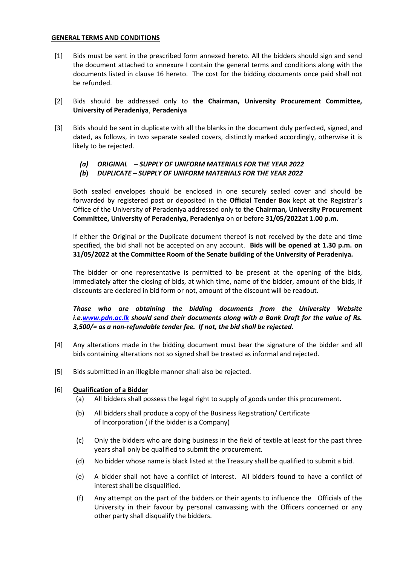#### **GENERAL TERMS AND CONDITIONS**

- [1] Bids must be sent in the prescribed form annexed hereto. All the bidders should sign and send the document attached to annexure I contain the general terms and conditions along with the documents listed in clause 16 hereto. The cost for the bidding documents once paid shall not be refunded.
- [2] Bids should be addressed only to **the Chairman, University Procurement Committee, University of Peradeniya**, **Peradeniya**
- [3] Bids should be sent in duplicate with all the blanks in the document duly perfected, signed, and dated, as follows, in two separate sealed covers, distinctly marked accordingly, otherwise it is likely to be rejected.
	- *(a) ORIGINAL – SUPPLY OF UNIFORM MATERIALS FOR THE YEAR 2022*
	- *(b***)** *DUPLICATE – SUPPLY OF UNIFORM MATERIALS FOR THE YEAR 2022*

Both sealed envelopes should be enclosed in one securely sealed cover and should be forwarded by registered post or deposited in the **Official Tender Box** kept at the Registrar's Office of the University of Peradeniya addressed only to **the Chairman, University Procurement Committee, University of Peradeniya, Peradeniya** on or before **31/05/2022**at **1.00 p.m.**

If either the Original or the Duplicate document thereof is not received by the date and time specified, the bid shall not be accepted on any account. **Bids will be opened at 1.30 p.m. on 31/05/2022 at the Committee Room of the Senate building of the University of Peradeniya.**

The bidder or one representative is permitted to be present at the opening of the bids, immediately after the closing of bids, at which time, name of the bidder, amount of the bids, if discounts are declared in bid form or not, amount of the discount will be readout.

*Those who are obtaining the bidding documents from the University Website i.e[.www.pdn.ac.lk](http://www.pdn.ac.lk/) should send their documents along with a Bank Draft for the value of Rs. 3,500/= as a non-refundable tender fee. If not, the bid shall be rejected.* 

- [4] Any alterations made in the bidding document must bear the signature of the bidder and all bids containing alterations not so signed shall be treated as informal and rejected.
- [5] Bids submitted in an illegible manner shall also be rejected.

#### [6] **Qualification of a Bidder**

- (a) All bidders shall possess the legal right to supply of goods under this procurement.
- (b) All bidders shall produce a copy of the Business Registration/ Certificate of Incorporation ( if the bidder is a Company)
- (c) Only the bidders who are doing business in the field of textile at least for the past three years shall only be qualified to submit the procurement.
- (d) No bidder whose name is black listed at the Treasury shall be qualified to submit a bid.
- (e) A bidder shall not have a conflict of interest. All bidders found to have a conflict of interest shall be disqualified.
- (f) Any attempt on the part of the bidders or their agents to influence the Officials of the University in their favour by personal canvassing with the Officers concerned or any other party shall disqualify the bidders.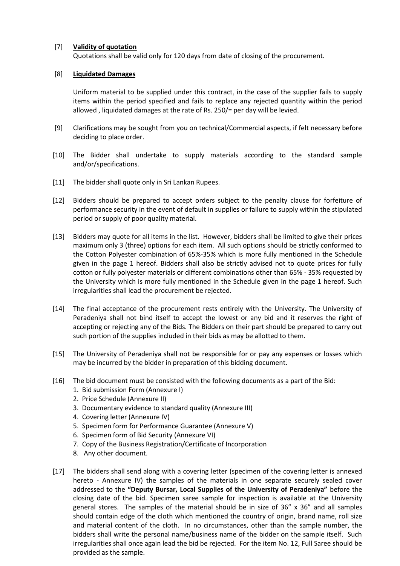#### [7] **Validity of quotation**

Quotations shall be valid only for 120 days from date of closing of the procurement.

#### [8] **Liquidated Damages**

Uniform material to be supplied under this contract, in the case of the supplier fails to supply items within the period specified and fails to replace any rejected quantity within the period allowed , liquidated damages at the rate of Rs. 250/= per day will be levied.

- [9] Clarifications may be sought from you on technical/Commercial aspects, if felt necessary before deciding to place order.
- [10] The Bidder shall undertake to supply materials according to the standard sample and/or/specifications.
- [11] The bidder shall quote only in Sri Lankan Rupees.
- [12] Bidders should be prepared to accept orders subject to the penalty clause for forfeiture of performance security in the event of default in supplies or failure to supply within the stipulated period or supply of poor quality material.
- [13] Bidders may quote for all items in the list. However, bidders shall be limited to give their prices maximum only 3 (three) options for each item. All such options should be strictly conformed to the Cotton Polyester combination of 65%-35% which is more fully mentioned in the Schedule given in the page 1 hereof. Bidders shall also be strictly advised not to quote prices for fully cotton or fully polyester materials or different combinations other than 65% - 35% requested by the University which is more fully mentioned in the Schedule given in the page 1 hereof. Such irregularities shall lead the procurement be rejected.
- [14] The final acceptance of the procurement rests entirely with the University. The University of Peradeniya shall not bind itself to accept the lowest or any bid and it reserves the right of accepting or rejecting any of the Bids. The Bidders on their part should be prepared to carry out such portion of the supplies included in their bids as may be allotted to them.
- [15] The University of Peradeniya shall not be responsible for or pay any expenses or losses which may be incurred by the bidder in preparation of this bidding document.
- [16] The bid document must be consisted with the following documents as a part of the Bid:
	- 1. Bid submission Form (Annexure I)
	- 2. Price Schedule (Annexure II)
	- 3. Documentary evidence to standard quality (Annexure III)
	- 4. Covering letter (Annexure IV)
	- 5. Specimen form for Performance Guarantee (Annexure V)
	- 6. Specimen form of Bid Security (Annexure VI)
	- 7. Copy of the Business Registration/Certificate of Incorporation
	- 8. Any other document.
- [17] The bidders shall send along with a covering letter (specimen of the covering letter is annexed hereto - Annexure IV) the samples of the materials in one separate securely sealed cover addressed to the **"Deputy Bursar, Local Supplies of the University of Peradeniya"** before the closing date of the bid. Specimen saree sample for inspection is available at the University general stores. The samples of the material should be in size of 36" x 36" and all samples should contain edge of the cloth which mentioned the country of origin, brand name, roll size and material content of the cloth. In no circumstances, other than the sample number, the bidders shall write the personal name/business name of the bidder on the sample itself. Such irregularities shall once again lead the bid be rejected. For the item No. 12, Full Saree should be provided as the sample.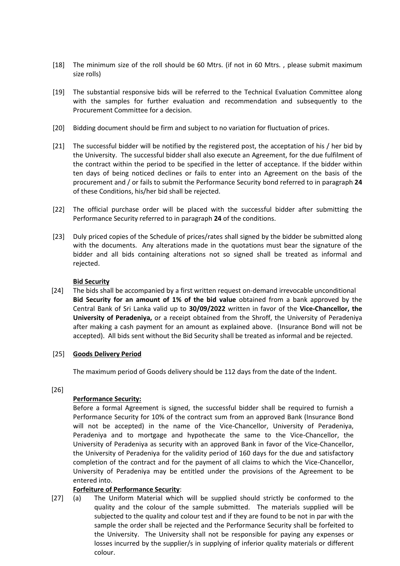- [18] The minimum size of the roll should be 60 Mtrs. (if not in 60 Mtrs. , please submit maximum size rolls)
- [19] The substantial responsive bids will be referred to the Technical Evaluation Committee along with the samples for further evaluation and recommendation and subsequently to the Procurement Committee for a decision.
- [20] Bidding document should be firm and subject to no variation for fluctuation of prices.
- [21] The successful bidder will be notified by the registered post, the acceptation of his / her bid by the University. The successful bidder shall also execute an Agreement, for the due fulfilment of the contract within the period to be specified in the letter of acceptance. If the bidder within ten days of being noticed declines or fails to enter into an Agreement on the basis of the procurement and / or fails to submit the Performance Security bond referred to in paragraph **24** of these Conditions, his/her bid shall be rejected.
- [22] The official purchase order will be placed with the successful bidder after submitting the Performance Security referred to in paragraph **24** of the conditions.
- [23] Duly priced copies of the Schedule of prices/rates shall signed by the bidder be submitted along with the documents. Any alterations made in the quotations must bear the signature of the bidder and all bids containing alterations not so signed shall be treated as informal and rejected.

#### **Bid Security**

[24] The bids shall be accompanied by a first written request on-demand irrevocable unconditional **Bid Security for an amount of 1% of the bid value** obtained from a bank approved by the Central Bank of Sri Lanka valid up to **30/09/2022** written in favor of the **Vice-Chancellor, the University of Peradeniya,** or a receipt obtained from the Shroff, the University of Peradeniya after making a cash payment for an amount as explained above.(Insurance Bond will not be accepted). All bids sent without the Bid Security shall be treated as informal and be rejected.

#### [25] **Goods Delivery Period**

The maximum period of Goods delivery should be 112 days from the date of the Indent.

#### [26]

### **Performance Security:**

Before a formal Agreement is signed, the successful bidder shall be required to furnish a Performance Security for 10% of the contract sum from an approved Bank (Insurance Bond will not be accepted) in the name of the Vice-Chancellor, University of Peradeniya, Peradeniya and to mortgage and hypothecate the same to the Vice-Chancellor, the University of Peradeniya as security with an approved Bank in favor of the Vice-Chancellor, the University of Peradeniya for the validity period of 160 days for the due and satisfactory completion of the contract and for the payment of all claims to which the Vice-Chancellor, University of Peradeniya may be entitled under the provisions of the Agreement to be entered into.

### **Forfeiture of Performance Security**:

[27] (a) The Uniform Material which will be supplied should strictly be conformed to the quality and the colour of the sample submitted. The materials supplied will be subjected to the quality and colour test and if they are found to be not in par with the sample the order shall be rejected and the Performance Security shall be forfeited to the University. The University shall not be responsible for paying any expenses or losses incurred by the supplier/s in supplying of inferior quality materials or different colour.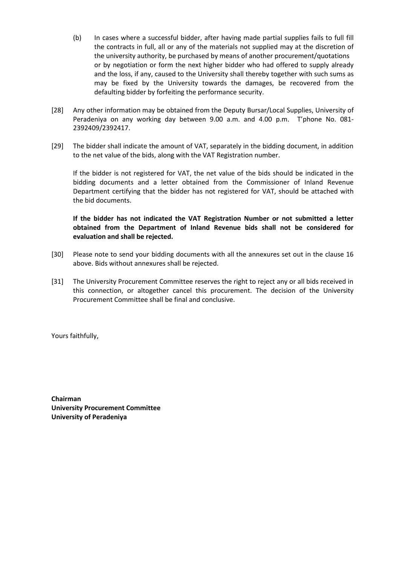- (b) In cases where a successful bidder, after having made partial supplies fails to full fill the contracts in full, all or any of the materials not supplied may at the discretion of the university authority, be purchased by means of another procurement/quotations or by negotiation or form the next higher bidder who had offered to supply already and the loss, if any, caused to the University shall thereby together with such sums as may be fixed by the University towards the damages, be recovered from the defaulting bidder by forfeiting the performance security.
- [28] Any other information may be obtained from the Deputy Bursar/Local Supplies, University of Peradeniya on any working day between 9.00 a.m. and 4.00 p.m. T'phone No. 081- 2392409/2392417.
- [29] The bidder shall indicate the amount of VAT, separately in the bidding document, in addition to the net value of the bids, along with the VAT Registration number.

If the bidder is not registered for VAT, the net value of the bids should be indicated in the bidding documents and a letter obtained from the Commissioner of Inland Revenue Department certifying that the bidder has not registered for VAT, should be attached with the bid documents.

#### **If the bidder has not indicated the VAT Registration Number or not submitted a letter obtained from the Department of Inland Revenue bids shall not be considered for evaluation and shall be rejected.**

- [30] Please note to send your bidding documents with all the annexures set out in the clause 16 above. Bids without annexures shall be rejected.
- [31] The University Procurement Committee reserves the right to reject any or all bids received in this connection, or altogether cancel this procurement. The decision of the University Procurement Committee shall be final and conclusive.

Yours faithfully,

**Chairman University Procurement Committee University of Peradeniya**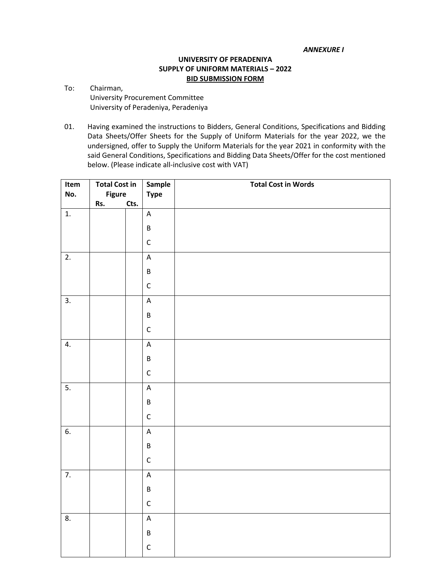*ANNEXURE I*

#### **UNIVERSITY OF PERADENIYA SUPPLY OF UNIFORM MATERIALS – 2022 BID SUBMISSION FORM**

- To: Chairman, University Procurement Committee University of Peradeniya, Peradeniya
- 01. Having examined the instructions to Bidders, General Conditions, Specifications and Bidding Data Sheets/Offer Sheets for the Supply of Uniform Materials for the year 2022, we the undersigned, offer to Supply the Uniform Materials for the year 2021 in conformity with the said General Conditions, Specifications and Bidding Data Sheets/Offer for the cost mentioned below. (Please indicate all-inclusive cost with VAT)

| Item | <b>Total Cost in</b> |      | Sample         | <b>Total Cost in Words</b> |
|------|----------------------|------|----------------|----------------------------|
| No.  | <b>Figure</b>        |      | <b>Type</b>    |                            |
|      | Rs.                  | Cts. |                |                            |
| 1.   |                      |      | $\mathsf A$    |                            |
|      |                      |      | $\sf B$        |                            |
|      |                      |      | $\mathsf C$    |                            |
| 2.   |                      |      | $\mathsf A$    |                            |
|      |                      |      | $\sf B$        |                            |
|      |                      |      | $\mathsf C$    |                            |
| 3.   |                      |      | $\mathsf A$    |                            |
|      |                      |      | $\sf B$        |                            |
|      |                      |      | $\mathsf C$    |                            |
| 4.   |                      |      | $\mathsf A$    |                            |
|      |                      |      | $\sf B$        |                            |
|      |                      |      | $\mathsf C$    |                            |
| 5.   |                      |      | $\mathsf A$    |                            |
|      |                      |      | $\sf B$        |                            |
|      |                      |      | $\mathsf C$    |                            |
| 6.   |                      |      | $\mathsf A$    |                            |
|      |                      |      | $\sf B$        |                            |
|      |                      |      | $\mathsf C$    |                            |
| 7.   |                      |      | $\mathsf A$    |                            |
|      |                      |      | $\sf B$        |                            |
|      |                      |      | $\mathsf C$    |                            |
| 8.   |                      |      | $\overline{A}$ |                            |
|      |                      |      | $\sf B$        |                            |
|      |                      |      | $\mathsf C$    |                            |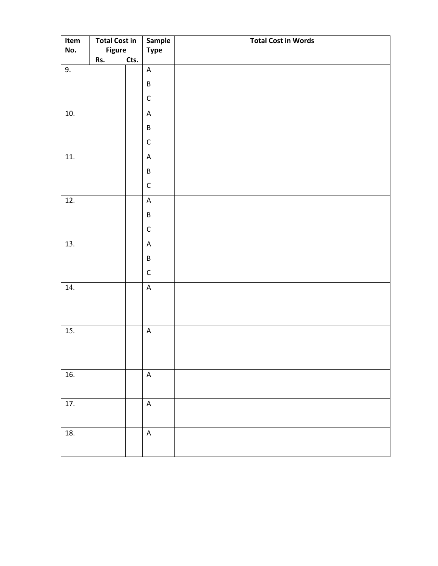| Item | <b>Total Cost in</b> |      | Sample                  | <b>Total Cost in Words</b> |
|------|----------------------|------|-------------------------|----------------------------|
| No.  | <b>Figure</b>        |      | <b>Type</b>             |                            |
| 9.   | Rs.                  | Cts. | $\mathsf A$             |                            |
|      |                      |      |                         |                            |
|      |                      |      | $\sf B$                 |                            |
|      |                      |      | $\mathsf C$             |                            |
| 10.  |                      |      | $\mathsf A$             |                            |
|      |                      |      | $\sf B$                 |                            |
|      |                      |      | $\mathsf C$             |                            |
| 11.  |                      |      | $\mathsf A$             |                            |
|      |                      |      | $\sf B$                 |                            |
|      |                      |      | $\mathsf C$             |                            |
| 12.  |                      |      | $\mathsf A$             |                            |
|      |                      |      | $\sf B$                 |                            |
|      |                      |      | $\mathsf C$             |                            |
| 13.  |                      |      | $\mathsf A$             |                            |
|      |                      |      | $\sf B$                 |                            |
|      |                      |      | $\mathsf C$             |                            |
| 14.  |                      |      | $\overline{\mathsf{A}}$ |                            |
|      |                      |      |                         |                            |
|      |                      |      |                         |                            |
| 15.  |                      |      | $\mathsf A$             |                            |
|      |                      |      |                         |                            |
|      |                      |      |                         |                            |
| 16.  |                      |      | $\mathsf A$             |                            |
|      |                      |      |                         |                            |
| 17.  |                      |      | $\mathsf A$             |                            |
|      |                      |      |                         |                            |
| 18.  |                      |      | $\mathsf A$             |                            |
|      |                      |      |                         |                            |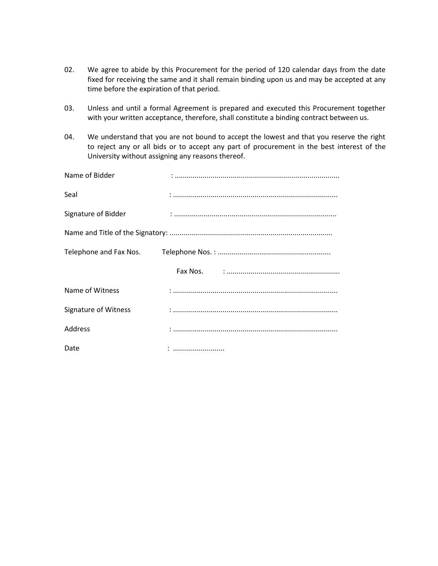- 02. We agree to abide by this Procurement for the period of 120 calendar days from the date fixed for receiving the same and it shall remain binding upon us and may be accepted at any time before the expiration of that period.
- 03. Unless and until a formal Agreement is prepared and executed this Procurement together with your written acceptance, therefore, shall constitute a binding contract between us.
- 04. We understand that you are not bound to accept the lowest and that you reserve the right to reject any or all bids or to accept any part of procurement in the best interest of the University without assigning any reasons thereof.

| Name of Bidder       |  |
|----------------------|--|
| Seal                 |  |
| Signature of Bidder  |  |
|                      |  |
|                      |  |
|                      |  |
| Name of Witness      |  |
| Signature of Witness |  |
| Address              |  |
| Date                 |  |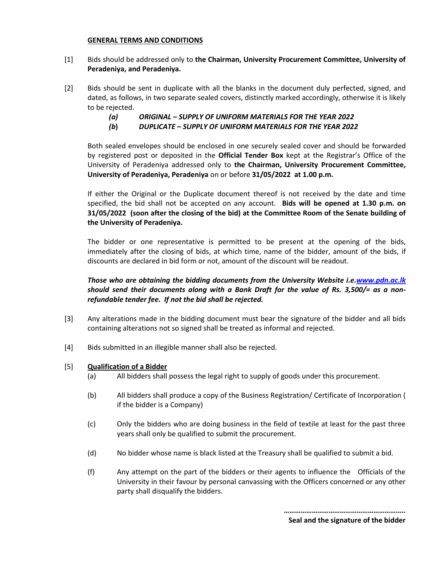#### **GENERAL TERMS AND CONDITIONS**

- [1] Bids should be addressed only to **the Chairman, University Procurement Committee, University of Peradeniya, and Peradeniya.**
- [2] Bids should be sent in duplicate with all the blanks in the document duly perfected, signed, and dated, as follows, in two separate sealed covers, distinctly marked accordingly, otherwise it is likely to be rejected.
	- *(a) ORIGINAL – SUPPLY OF UNIFORM MATERIALS FOR THE YEAR 2022*
	- *(b***)** *DUPLICATE – SUPPLY OF UNIFORM MATERIALS FOR THE YEAR 2022*

Both sealed envelopes should be enclosed in one securely sealed cover and should be forwarded by registered post or deposited in the **Official Tender Box** kept at the Registrar's Office of the University of Peradeniya addressed only to **the Chairman, University Procurement Committee, University of Peradeniya, Peradeniya** on or before **31/05/2022 at 1.00 p.m.**

If either the Original or the Duplicate document thereof is not received by the date and time specified, the bid shall not be accepted on any account. **Bids will be opened at 1.30 p.m. on 31/05/2022 (soon after the closing of the bid) at the Committee Room of the Senate building of the University of Peradeniya.**

The bidder or one representative is permitted to be present at the opening of the bids, immediately after the closing of bids, at which time, name of the bidder, amount of the bids, if discounts are declared in bid form or not, amount of the discount will be readout.

#### *Those who are obtaining the bidding documents from the University Website i.e[.www.pdn.ac.lk](http://www.pdn.ac.lk/) should send their documents along with a Bank Draft for the value of Rs. 3,500/= as a nonrefundable tender fee. If not the bid shall be rejected.*

- [3] Any alterations made in the bidding document must bear the signature of the bidder and all bids containing alterations not so signed shall be treated as informal and rejected.
- [4] Bids submitted in an illegible manner shall also be rejected.
- [5] **Qualification of a Bidder**
	- (a) All bidders shall possess the legal right to supply of goods under this procurement.
	- (b) All bidders shall produce a copy of the Business Registration/ Certificate of Incorporation ( if the bidder is a Company)
	- (c) Only the bidders who are doing business in the field of textile at least for the past three years shall only be qualified to submit the procurement.
	- (d) No bidder whose name is black listed at the Treasury shall be qualified to submit a bid.
	- (f) Any attempt on the part of the bidders or their agents to influence the Officials of the University in their favour by personal canvassing with the Officers concerned or any other party shall disqualify the bidders.

**………………………………………………………..**

**Seal and the signature of the bidder**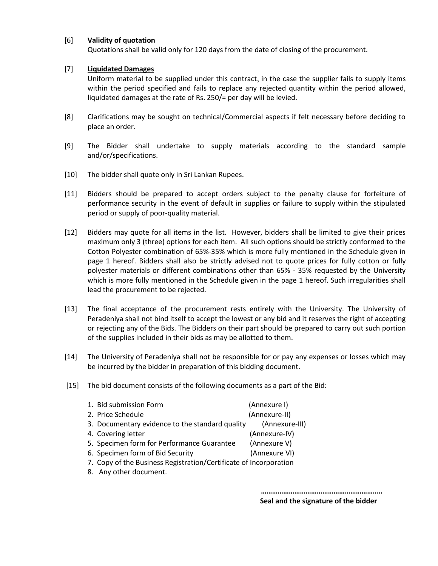#### [6] **Validity of quotation**

Quotations shall be valid only for 120 days from the date of closing of the procurement.

#### [7] **Liquidated Damages**

Uniform material to be supplied under this contract, in the case the supplier fails to supply items within the period specified and fails to replace any rejected quantity within the period allowed, liquidated damages at the rate of Rs. 250/= per day will be levied.

- [8] Clarifications may be sought on technical/Commercial aspects if felt necessary before deciding to place an order.
- [9] The Bidder shall undertake to supply materials according to the standard sample and/or/specifications.
- [10] The bidder shall quote only in Sri Lankan Rupees.
- [11] Bidders should be prepared to accept orders subject to the penalty clause for forfeiture of performance security in the event of default in supplies or failure to supply within the stipulated period or supply of poor-quality material.
- [12] Bidders may quote for all items in the list. However, bidders shall be limited to give their prices maximum only 3 (three) options for each item. All such options should be strictly conformed to the Cotton Polyester combination of 65%-35% which is more fully mentioned in the Schedule given in page 1 hereof. Bidders shall also be strictly advised not to quote prices for fully cotton or fully polyester materials or different combinations other than 65% - 35% requested by the University which is more fully mentioned in the Schedule given in the page 1 hereof. Such irregularities shall lead the procurement to be rejected.
- [13] The final acceptance of the procurement rests entirely with the University. The University of Peradeniya shall not bind itself to accept the lowest or any bid and it reserves the right of accepting or rejecting any of the Bids. The Bidders on their part should be prepared to carry out such portion of the supplies included in their bids as may be allotted to them.
- [14] The University of Peradeniya shall not be responsible for or pay any expenses or losses which may be incurred by the bidder in preparation of this bidding document.
- [15] The bid document consists of the following documents as a part of the Bid:

| 1. Bid submission Form                          | (Annexure I)   |
|-------------------------------------------------|----------------|
| 2. Price Schedule                               | (Annexure-II)  |
| 3. Documentary evidence to the standard quality | (Annexure-III) |
| 4. Covering letter                              | (Annexure-IV)  |
| 5. Specimen form for Performance Guarantee      | (Annexure V)   |
| 6. Specimen form of Bid Security                | (Annexure VI)  |
|                                                 |                |

- 7. Copy of the Business Registration/Certificate of Incorporation
- 8. Any other document.

 **………………………………………………………..**

 **Seal and the signature of the bidder**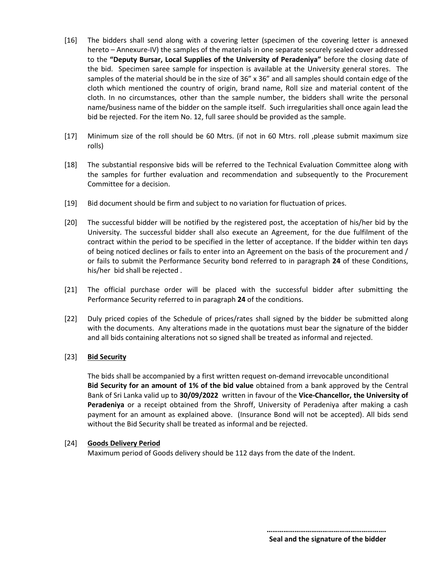- [16] The bidders shall send along with a covering letter (specimen of the covering letter is annexed hereto – Annexure-IV) the samples of the materials in one separate securely sealed cover addressed to the **"Deputy Bursar, Local Supplies of the University of Peradeniya"** before the closing date of the bid. Specimen saree sample for inspection is available at the University general stores. The samples of the material should be in the size of 36" x 36" and all samples should contain edge of the cloth which mentioned the country of origin, brand name, Roll size and material content of the cloth. In no circumstances, other than the sample number, the bidders shall write the personal name/business name of the bidder on the sample itself. Such irregularities shall once again lead the bid be rejected. For the item No. 12, full saree should be provided as the sample.
- [17] Minimum size of the roll should be 60 Mtrs. (if not in 60 Mtrs. roll ,please submit maximum size rolls)
- [18] The substantial responsive bids will be referred to the Technical Evaluation Committee along with the samples for further evaluation and recommendation and subsequently to the Procurement Committee for a decision.
- [19] Bid document should be firm and subject to no variation for fluctuation of prices.
- [20] The successful bidder will be notified by the registered post, the acceptation of his/her bid by the University. The successful bidder shall also execute an Agreement, for the due fulfilment of the contract within the period to be specified in the letter of acceptance. If the bidder within ten days of being noticed declines or fails to enter into an Agreement on the basis of the procurement and / or fails to submit the Performance Security bond referred to in paragraph **24** of these Conditions, his/her bid shall be rejected .
- [21] The official purchase order will be placed with the successful bidder after submitting the Performance Security referred to in paragraph **24** of the conditions.
- [22] Duly priced copies of the Schedule of prices/rates shall signed by the bidder be submitted along with the documents. Any alterations made in the quotations must bear the signature of the bidder and all bids containing alterations not so signed shall be treated as informal and rejected.

#### [23] **Bid Security**

The bids shall be accompanied by a first written request on-demand irrevocable unconditional **Bid Security for an amount of 1% of the bid value** obtained from a bank approved by the Central Bank of Sri Lanka valid up to **30/09/2022** written in favour of the **Vice-Chancellor, the University of Peradeniya** or a receipt obtained from the Shroff, University of Peradeniya after making a cash payment for an amount as explained above.(Insurance Bond will not be accepted). All bids send without the Bid Security shall be treated as informal and be rejected.

#### [24] **Goods Delivery Period**

Maximum period of Goods delivery should be 112 days from the date of the Indent.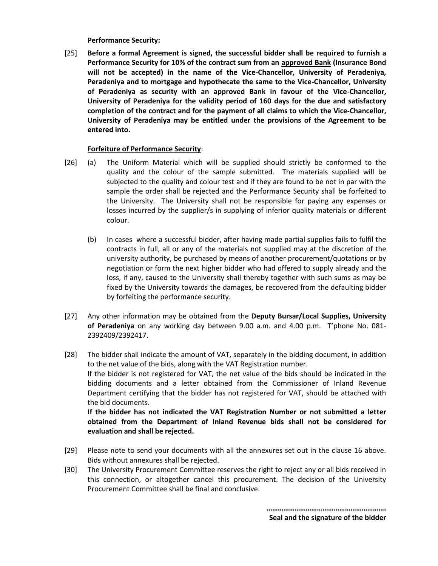#### **Performance Security:**

[25] **Before a formal Agreement is signed, the successful bidder shall be required to furnish a Performance Security for 10% of the contract sum from an approved Bank (Insurance Bond will not be accepted) in the name of the Vice-Chancellor, University of Peradeniya, Peradeniya and to mortgage and hypothecate the same to the Vice-Chancellor, University of Peradeniya as security with an approved Bank in favour of the Vice-Chancellor, University of Peradeniya for the validity period of 160 days for the due and satisfactory completion of the contract and for the payment of all claims to which the Vice-Chancellor, University of Peradeniya may be entitled under the provisions of the Agreement to be entered into.** 

#### **Forfeiture of Performance Security**:

- [26] (a) The Uniform Material which will be supplied should strictly be conformed to the quality and the colour of the sample submitted. The materials supplied will be subjected to the quality and colour test and if they are found to be not in par with the sample the order shall be rejected and the Performance Security shall be forfeited to the University. The University shall not be responsible for paying any expenses or losses incurred by the supplier/s in supplying of inferior quality materials or different colour.
	- (b) In cases where a successful bidder, after having made partial supplies fails to fulfil the contracts in full, all or any of the materials not supplied may at the discretion of the university authority, be purchased by means of another procurement/quotations or by negotiation or form the next higher bidder who had offered to supply already and the loss, if any, caused to the University shall thereby together with such sums as may be fixed by the University towards the damages, be recovered from the defaulting bidder by forfeiting the performance security.
- [27] Any other information may be obtained from the **Deputy Bursar/Local Supplies, University of Peradeniya** on any working day between 9.00 a.m. and 4.00 p.m. T'phone No. 081- 2392409/2392417.
- [28] The bidder shall indicate the amount of VAT, separately in the bidding document, in addition to the net value of the bids, along with the VAT Registration number. If the bidder is not registered for VAT, the net value of the bids should be indicated in the bidding documents and a letter obtained from the Commissioner of Inland Revenue Department certifying that the bidder has not registered for VAT, should be attached with the bid documents. **If the bidder has not indicated the VAT Registration Number or not submitted a letter obtained from the Department of Inland Revenue bids shall not be considered for evaluation and shall be rejected.**
- [29] Please note to send your documents with all the annexures set out in the clause 16 above. Bids without annexures shall be rejected.
- [30] The University Procurement Committee reserves the right to reject any or all bids received in this connection, or altogether cancel this procurement. The decision of the University Procurement Committee shall be final and conclusive.

 **………………………………………………………. Seal and the signature of the bidder**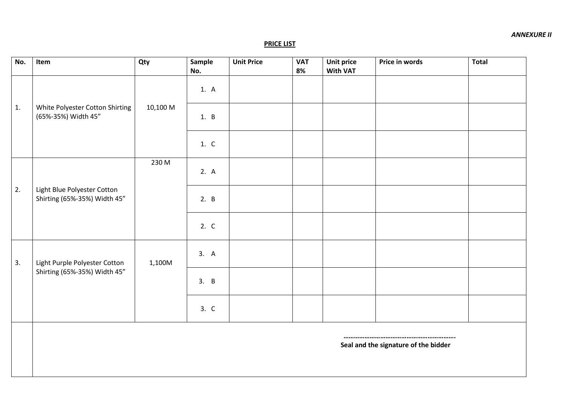#### **PRICE LIST**

| Item                          | Qty                                                                                            | Sample   | <b>Unit Price</b> | <b>VAT</b> | <b>Unit price</b> | Price in words  | <b>Total</b>                         |
|-------------------------------|------------------------------------------------------------------------------------------------|----------|-------------------|------------|-------------------|-----------------|--------------------------------------|
|                               |                                                                                                | 1. A     |                   |            |                   |                 |                                      |
| 1.<br>(65%-35%) Width 45"     |                                                                                                | 1. B     |                   |            |                   |                 |                                      |
|                               |                                                                                                | 1. C     |                   |            |                   |                 |                                      |
|                               | 230 M                                                                                          | 2. A     |                   |            |                   |                 |                                      |
| Shirting (65%-35%) Width 45"  |                                                                                                | 2. B     |                   |            |                   |                 |                                      |
|                               |                                                                                                | 2. C     |                   |            |                   |                 |                                      |
| Light Purple Polyester Cotton | 1,100M                                                                                         | 3. A     |                   |            |                   |                 |                                      |
|                               |                                                                                                | 3. B     |                   |            |                   |                 |                                      |
|                               |                                                                                                | 3. C     |                   |            |                   |                 |                                      |
|                               |                                                                                                |          |                   |            |                   |                 |                                      |
|                               | White Polyester Cotton Shirting<br>Light Blue Polyester Cotton<br>Shirting (65%-35%) Width 45" | 10,100 M | No.               |            | 8%                | <b>With VAT</b> | Seal and the signature of the bidder |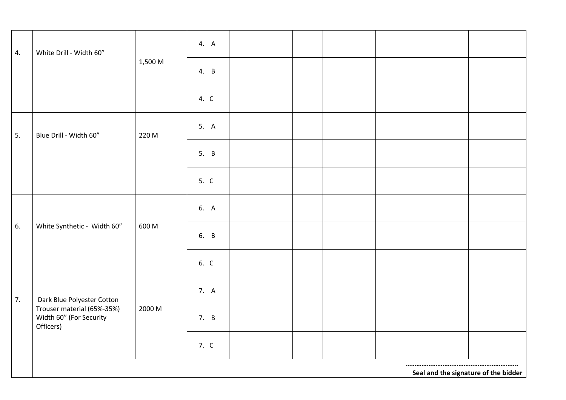| 4. | White Drill - Width 60"                                            |         | 4. A |  |  |                                      |
|----|--------------------------------------------------------------------|---------|------|--|--|--------------------------------------|
|    |                                                                    | 1,500 M | 4. B |  |  |                                      |
|    |                                                                    |         | 4. C |  |  |                                      |
| 5. | Blue Drill - Width 60"                                             | 220 M   | 5. A |  |  |                                      |
|    |                                                                    |         | 5. B |  |  |                                      |
|    |                                                                    |         | 5. C |  |  |                                      |
|    |                                                                    |         | 6. A |  |  |                                      |
| 6. | White Synthetic - Width 60"                                        | 600 M   | 6. B |  |  |                                      |
|    |                                                                    |         | 6. C |  |  |                                      |
| 7. | Dark Blue Polyester Cotton                                         |         | 7. A |  |  |                                      |
|    | Trouser material (65%-35%)<br>Width 60" (For Security<br>Officers) | 2000 M  | 7. B |  |  |                                      |
|    |                                                                    |         | 7. C |  |  |                                      |
|    |                                                                    |         |      |  |  | Seal and the signature of the bidder |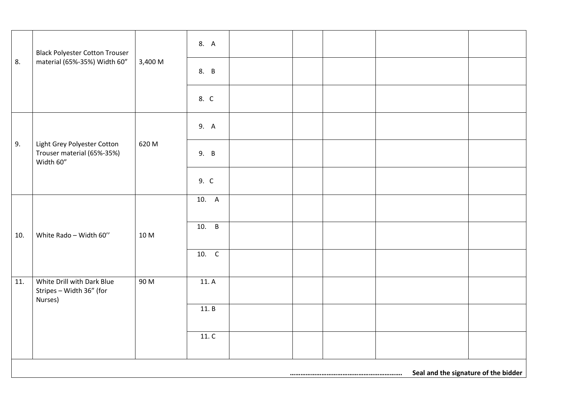|     | <b>Black Polyester Cotton Trouser</b><br>material (65%-35%) Width 60"  |         | 8. A               |  |  |  |
|-----|------------------------------------------------------------------------|---------|--------------------|--|--|--|
| 8.  |                                                                        | 3,400 M | 8. B               |  |  |  |
|     |                                                                        |         | 8. C               |  |  |  |
|     |                                                                        |         | 9. A               |  |  |  |
| 9.  | Light Grey Polyester Cotton<br>Trouser material (65%-35%)<br>Width 60" | 620 M   | 9. B               |  |  |  |
|     |                                                                        |         | 9. C               |  |  |  |
|     |                                                                        |         | $\overline{10.}$ A |  |  |  |
|     |                                                                        |         |                    |  |  |  |
| 10. | White Rado - Width 60"                                                 | 10 M    | 10. B              |  |  |  |
|     |                                                                        |         | 10. C              |  |  |  |
| 11. | White Drill with Dark Blue<br>Stripes - Width 36" (for<br>Nurses)      | 90 M    | 11. A              |  |  |  |
|     |                                                                        |         | 11. B              |  |  |  |
|     |                                                                        |         |                    |  |  |  |
|     |                                                                        |         | 11. C              |  |  |  |
|     |                                                                        |         |                    |  |  |  |

**………………………………………………………. Seal and the signature of the bidder**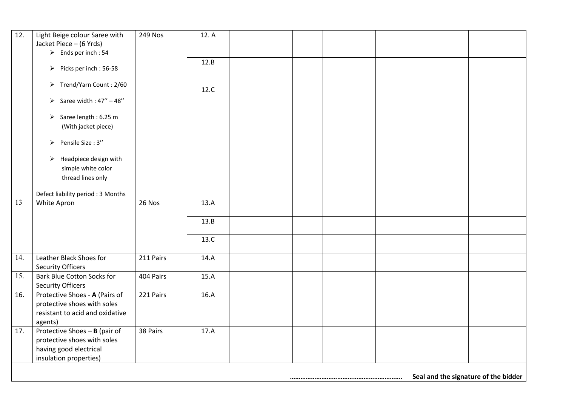| 12.               | Light Beige colour Saree with                        | 249 Nos   | 12.A |  |  |  |
|-------------------|------------------------------------------------------|-----------|------|--|--|--|
|                   | Jacket Piece - (6 Yrds)                              |           |      |  |  |  |
|                   | $\triangleright$ Ends per inch: 54                   |           |      |  |  |  |
|                   |                                                      |           | 12.B |  |  |  |
|                   | Picks per inch: 56-58                                |           |      |  |  |  |
|                   |                                                      |           |      |  |  |  |
|                   | > Trend/Yarn Count: 2/60                             |           | 12.C |  |  |  |
|                   |                                                      |           |      |  |  |  |
|                   | Saree width: $47^{\prime\prime} - 48^{\prime\prime}$ |           |      |  |  |  |
|                   | Saree length : 6.25 m                                |           |      |  |  |  |
|                   | (With jacket piece)                                  |           |      |  |  |  |
|                   |                                                      |           |      |  |  |  |
|                   | > Pensile Size: 3"                                   |           |      |  |  |  |
|                   |                                                      |           |      |  |  |  |
|                   | $\triangleright$ Headpiece design with               |           |      |  |  |  |
|                   | simple white color                                   |           |      |  |  |  |
|                   | thread lines only                                    |           |      |  |  |  |
|                   |                                                      |           |      |  |  |  |
|                   | Defect liability period: 3 Months                    |           |      |  |  |  |
| $\overline{13}$   | White Apron                                          | 26 Nos    | 13.A |  |  |  |
|                   |                                                      |           |      |  |  |  |
|                   |                                                      |           | 13.B |  |  |  |
|                   |                                                      |           |      |  |  |  |
|                   |                                                      |           | 13.C |  |  |  |
|                   |                                                      |           |      |  |  |  |
| $\overline{14}$ . | Leather Black Shoes for                              | 211 Pairs | 14.A |  |  |  |
|                   | <b>Security Officers</b>                             |           |      |  |  |  |
| 15.               | <b>Bark Blue Cotton Socks for</b>                    | 404 Pairs | 15.A |  |  |  |
|                   | <b>Security Officers</b>                             |           |      |  |  |  |
| 16.               | Protective Shoes - A (Pairs of                       | 221 Pairs | 16.A |  |  |  |
|                   | protective shoes with soles                          |           |      |  |  |  |
|                   | resistant to acid and oxidative                      |           |      |  |  |  |
|                   | agents)                                              |           |      |  |  |  |
| 17.               | Protective Shoes - B (pair of                        | 38 Pairs  | 17.A |  |  |  |
|                   | protective shoes with soles                          |           |      |  |  |  |
|                   |                                                      |           |      |  |  |  |
|                   |                                                      |           |      |  |  |  |
|                   | having good electrical<br>insulation properties)     |           |      |  |  |  |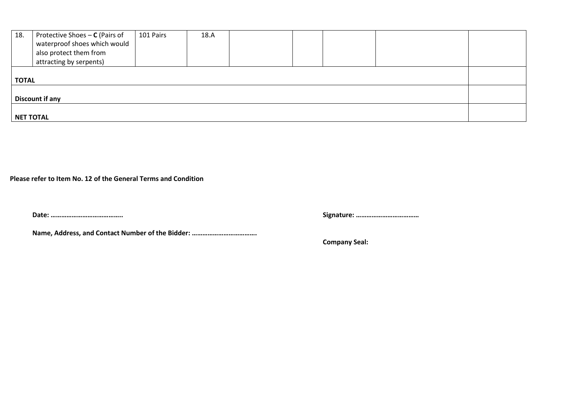| 18.              | Protective Shoes - C (Pairs of<br>waterproof shoes which would<br>also protect them from<br>attracting by serpents) | 101 Pairs | 18.A |  |  |  |  |  |
|------------------|---------------------------------------------------------------------------------------------------------------------|-----------|------|--|--|--|--|--|
| <b>TOTAL</b>     |                                                                                                                     |           |      |  |  |  |  |  |
| Discount if any  |                                                                                                                     |           |      |  |  |  |  |  |
| <b>NET TOTAL</b> |                                                                                                                     |           |      |  |  |  |  |  |

**Please refer to Item No. 12 of the General Terms and Condition**

**Name, Address, and Contact Number of the Bidder: ……………………………….**

**Date: ………………………………….. Signature: ………………………………**

 **Company Seal:**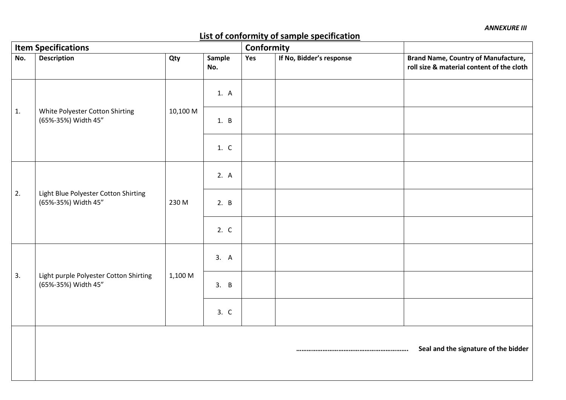# **List of conformity of sample specification**

| <b>Item Specifications</b> |                                                               |          |               |     | Conformity               |                                                                                         |
|----------------------------|---------------------------------------------------------------|----------|---------------|-----|--------------------------|-----------------------------------------------------------------------------------------|
| No.                        | <b>Description</b>                                            | Qty      | Sample<br>No. | Yes | If No, Bidder's response | <b>Brand Name, Country of Manufacture,</b><br>roll size & material content of the cloth |
|                            |                                                               | 10,100 M | 1. A          |     |                          |                                                                                         |
| 1.                         | White Polyester Cotton Shirting<br>(65%-35%) Width 45"        |          | 1. B          |     |                          |                                                                                         |
|                            |                                                               |          | 1. C          |     |                          |                                                                                         |
|                            |                                                               | 230 M    | 2. A          |     |                          |                                                                                         |
| 2.                         | Light Blue Polyester Cotton Shirting<br>(65%-35%) Width 45"   |          | 2. B          |     |                          |                                                                                         |
|                            |                                                               |          | 2. C          |     |                          |                                                                                         |
|                            | Light purple Polyester Cotton Shirting<br>(65%-35%) Width 45" | 1,100 M  | 3. A          |     |                          |                                                                                         |
| 3.                         |                                                               |          | 3. B          |     |                          |                                                                                         |
|                            |                                                               |          | 3. C          |     |                          |                                                                                         |
|                            |                                                               |          |               |     |                          | Seal and the signature of the bidder                                                    |
|                            |                                                               |          |               |     |                          |                                                                                         |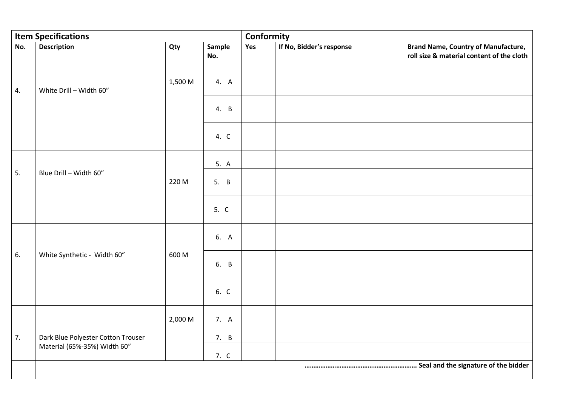|     | <b>Item Specifications</b>                                         |         |               | Conformity |                          |                                                                                         |
|-----|--------------------------------------------------------------------|---------|---------------|------------|--------------------------|-----------------------------------------------------------------------------------------|
| No. | <b>Description</b>                                                 | Qty     | Sample<br>No. | Yes        | If No, Bidder's response | <b>Brand Name, Country of Manufacture,</b><br>roll size & material content of the cloth |
| 4.  | White Drill - Width 60"                                            | 1,500 M | 4. A          |            |                          |                                                                                         |
|     |                                                                    |         | 4. B          |            |                          |                                                                                         |
|     |                                                                    |         | 4. C          |            |                          |                                                                                         |
|     |                                                                    |         | 5. A          |            |                          |                                                                                         |
| 5.  | Blue Drill - Width 60"                                             | 220 M   | 5. B          |            |                          |                                                                                         |
|     |                                                                    |         | 5. C          |            |                          |                                                                                         |
|     | White Synthetic - Width 60"                                        | 600 M   | 6. A          |            |                          |                                                                                         |
| 6.  |                                                                    |         | 6. B          |            |                          |                                                                                         |
|     |                                                                    |         | 6. C          |            |                          |                                                                                         |
|     |                                                                    | 2,000 M | 7. A          |            |                          |                                                                                         |
| 7.  | Dark Blue Polyester Cotton Trouser<br>Material (65%-35%) Width 60" |         | 7. B          |            |                          |                                                                                         |
|     |                                                                    |         | 7. C          |            |                          |                                                                                         |
|     |                                                                    |         |               |            |                          |                                                                                         |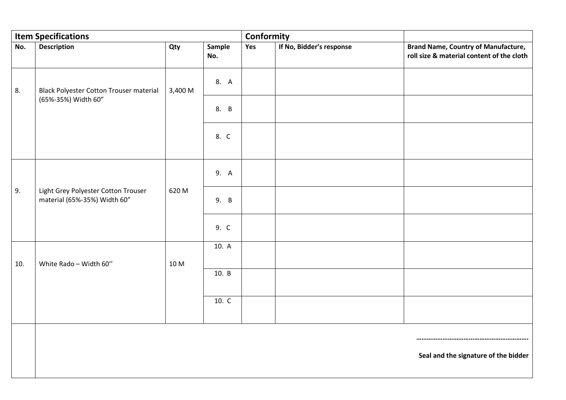|     | <b>Item Specifications</b>                                          |               |               | Conformity |                          |                                                                                         |
|-----|---------------------------------------------------------------------|---------------|---------------|------------|--------------------------|-----------------------------------------------------------------------------------------|
| No. | <b>Description</b>                                                  | Qty           | Sample<br>No. | Yes        | If No, Bidder's response | <b>Brand Name, Country of Manufacture,</b><br>roll size & material content of the cloth |
| 8.  | <b>Black Polyester Cotton Trouser material</b>                      | 3,400 M       | 8. A          |            |                          |                                                                                         |
|     | (65%-35%) Width 60"                                                 |               | 8. B          |            |                          |                                                                                         |
|     |                                                                     |               | 8. C          |            |                          |                                                                                         |
|     |                                                                     |               |               |            |                          |                                                                                         |
|     | Light Grey Polyester Cotton Trouser<br>material (65%-35%) Width 60" |               | 9. A          |            |                          |                                                                                         |
| 9.  |                                                                     | 620 M         | 9. B          |            |                          |                                                                                         |
|     |                                                                     |               | 9. C          |            |                          |                                                                                         |
|     | White Rado - Width 60"                                              | 10. A<br>10 M |               |            |                          |                                                                                         |
| 10. |                                                                     |               |               |            |                          |                                                                                         |
|     |                                                                     |               | 10. B         |            |                          |                                                                                         |
|     |                                                                     |               | 10. C         |            |                          |                                                                                         |
|     |                                                                     |               |               |            |                          |                                                                                         |
|     |                                                                     |               |               |            |                          |                                                                                         |
|     |                                                                     |               |               |            |                          | Seal and the signature of the bidder                                                    |
|     |                                                                     |               |               |            |                          |                                                                                         |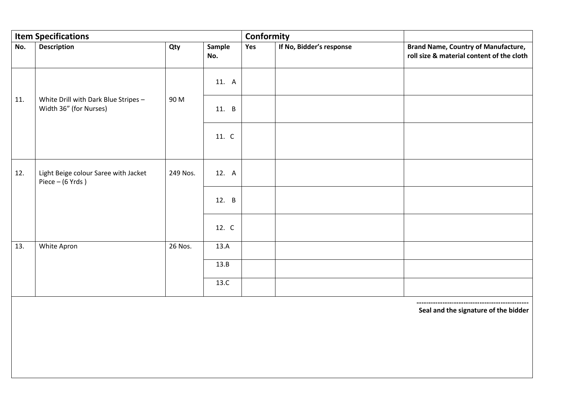|     | <b>Item Specifications</b>                                     |          |               | Conformity |                          |                                                                                         |
|-----|----------------------------------------------------------------|----------|---------------|------------|--------------------------|-----------------------------------------------------------------------------------------|
| No. | <b>Description</b>                                             | Qty      | Sample<br>No. | Yes        | If No, Bidder's response | <b>Brand Name, Country of Manufacture,</b><br>roll size & material content of the cloth |
|     |                                                                |          | 11. A         |            |                          |                                                                                         |
| 11. | White Drill with Dark Blue Stripes -<br>Width 36" (for Nurses) | 90 M     | 11. B         |            |                          |                                                                                         |
|     |                                                                |          | 11. C         |            |                          |                                                                                         |
| 12. | Light Beige colour Saree with Jacket<br>Piece $-$ (6 Yrds)     | 249 Nos. | 12. A         |            |                          |                                                                                         |
|     |                                                                |          | 12. B         |            |                          |                                                                                         |
|     |                                                                |          | 12. C         |            |                          |                                                                                         |
| 13. | White Apron                                                    | 26 Nos.  | 13.A          |            |                          |                                                                                         |
|     |                                                                |          | 13.B          |            |                          |                                                                                         |
|     |                                                                |          | 13.C          |            |                          |                                                                                         |

 **………………………………………………………. Seal and the signature of the bidder**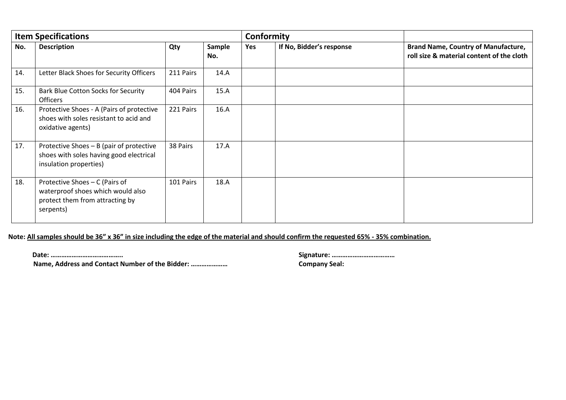| <b>Item Specifications</b> |                                                                                                                     |           |               |     | Conformity               |                                                                                         |
|----------------------------|---------------------------------------------------------------------------------------------------------------------|-----------|---------------|-----|--------------------------|-----------------------------------------------------------------------------------------|
| No.                        | <b>Description</b>                                                                                                  | Qty       | Sample<br>No. | Yes | If No, Bidder's response | <b>Brand Name, Country of Manufacture,</b><br>roll size & material content of the cloth |
| 14.                        | Letter Black Shoes for Security Officers                                                                            | 211 Pairs | 14.A          |     |                          |                                                                                         |
| 15.                        | Bark Blue Cotton Socks for Security<br>Officers                                                                     | 404 Pairs | 15.A          |     |                          |                                                                                         |
| 16.                        | Protective Shoes - A (Pairs of protective<br>shoes with soles resistant to acid and<br>oxidative agents)            | 221 Pairs | 16.A          |     |                          |                                                                                         |
| 17.                        | Protective Shoes - B (pair of protective<br>shoes with soles having good electrical<br>insulation properties)       | 38 Pairs  | 17.A          |     |                          |                                                                                         |
| 18.                        | Protective Shoes - C (Pairs of<br>waterproof shoes which would also<br>protect them from attracting by<br>serpents) | 101 Pairs | 18.A          |     |                          |                                                                                         |

## **Note: All samples should be 36" x 36" in size including the edge of the material and should confirm the requested 65% - 35% combination.**

 **Name, Address and Contact Number of the Bidder: ………………… Company Seal:**

**Date: ………………………………….. Signature: ………………………………**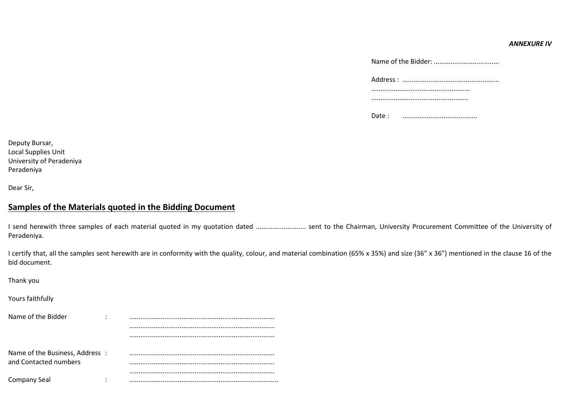#### *ANNEXURE IV*

| Address : |
|-----------|
|           |
|           |
| Date:     |

Deputy Bursar, Local Supplies Unit University of Peradeniya Peradeniya

Dear Sir,

## **Samples of the Materials quoted in the Bidding Document**

I send herewith three samples of each material quoted in my quotation dated ........................... sent to the Chairman, University Procurement Committee of the University of Peradeniya.

I certify that, all the samples sent herewith are in conformity with the quality, colour, and material combination (65% x 35%) and size (36" x 36") mentioned in the clause 16 of the bid document.

| Thank you                      |   |  |
|--------------------------------|---|--|
| Yours faithfully               |   |  |
| Name of the Bidder             | ٠ |  |
|                                |   |  |
|                                |   |  |
| Name of the Business, Address: |   |  |
| and Contacted numbers          |   |  |
|                                |   |  |
| <b>Company Seal</b>            |   |  |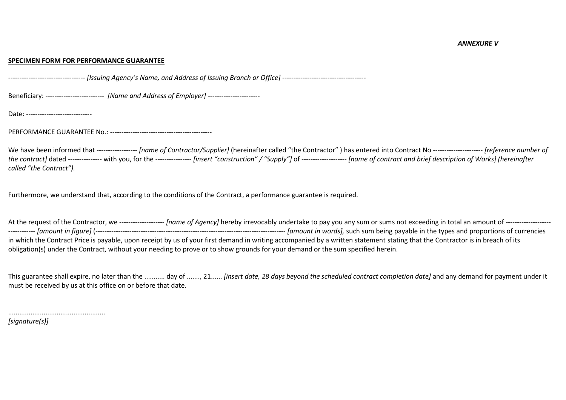#### **SPECIMEN FORM FOR PERFORMANCE GUARANTEE**

---------------------------------- *[Issuing Agency's Name, and Address of Issuing Branch or Office]* -------------------------------------

Beneficiary: -------------------------- *[Name and Address of Employer]* -----------------------

Date: -----------------------------

PERFORMANCE GUARANTEE No.: ---------------------------------------------

We have been informed that ------------------ *[name of Contractor/Supplier]* (hereinafter called "the Contractor" ) has entered into Contract No ---------------------- *[reference number of the contract]* dated --------------- with you, for the ---------------- *[insert "construction" / "Supply"]* of -------------------- *[name of contract and brief description of Works] (hereinafter called "the Contract").*

Furthermore, we understand that, according to the conditions of the Contract, a performance guarantee is required.

At the request of the Contractor, we -------------------- *[name of Agency]* hereby irrevocably undertake to pay you any sum or sums not exceeding in total an amount of -------------------- ------------ *[amount in figure]* (------------------------------------------------------------------------------------ *[amount in words],* such sum being payable in the types and proportions of currencies in which the Contract Price is payable, upon receipt by us of your first demand in writing accompanied by a written statement stating that the Contractor is in breach of its obligation(s) under the Contract, without your needing to prove or to show grounds for your demand or the sum specified herein.

This guarantee shall expire, no later than the ........... day of ......., 21...... *[insert date, 28 days beyond the scheduled contract completion date]* and any demand for payment under it must be received by us at this office on or before that date.

*[signature(s)]*

....................................................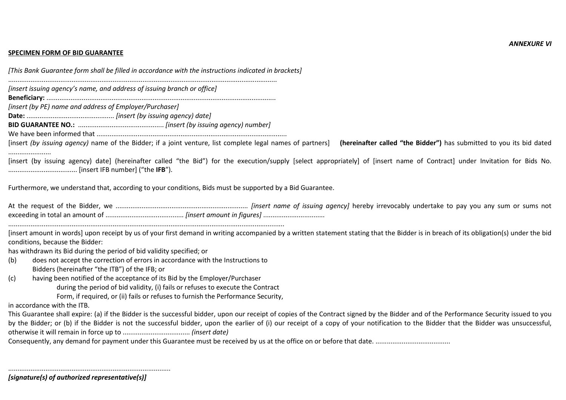#### **SPECIMEN FORM OF BID GUARANTEE**

*[This Bank Guarantee form shall be filled in accordance with the instructions indicated in brackets]*

................................................................................................................................................

*[insert issuing agency's name, and address of issuing branch or office]*

**Beneficiary:** ...........................................................................................................................

*[insert (by PE) name and address of Employer/Purchaser]*

**Date:** ............................................... *[insert (by issuing agency) date]*

**BID GUARANTEE NO.:** .............................................. *[insert (by issuing agency) number]*

We have been informed that ......................................................................................................

[insert *(by issuing agency)* name of the Bidder; if a joint venture, list complete legal names of partners] **(hereinafter called "the Bidder")** has submitted to you its bid dated .......................

[insert (by issuing agency) date] (hereinafter called "the Bid") for the execution/supply [select appropriately] of [insert name of Contract] under Invitation for Bids No. ..................................... [insert IFB number] ("the **IFB**").

Furthermore, we understand that, according to your conditions, Bids must be supported by a Bid Guarantee.

At the request of the Bidder, we ....................................................................... *[insert name of issuing agency]* hereby irrevocably undertake to pay you any sum or sums not exceeding in total an amount of .......................................... *[insert amount in figures]* .................................

....................................................................................................................................................

[insert amount in words] upon receipt by us of your first demand in writing accompanied by a written statement stating that the Bidder is in breach of its obligation(s) under the bid conditions, because the Bidder:

has withdrawn its Bid during the period of bid validity specified; or

- (b) does not accept the correction of errors in accordance with the Instructions to Bidders (hereinafter "the ITB") of the IFB; or
- (c) having been notified of the acceptance of its Bid by the Employer/Purchaser during the period of bid validity, (i) fails or refuses to execute the Contract

Form, if required, or (ii) fails or refuses to furnish the Performance Security,

in accordance with the ITB.

This Guarantee shall expire: (a) if the Bidder is the successful bidder, upon our receipt of copies of the Contract signed by the Bidder and of the Performance Security issued to you by the Bidder; or (b) if the Bidder is not the successful bidder, upon the earlier of (i) our receipt of a copy of your notification to the Bidder that the Bidder was unsuccessful, otherwise it will remain in force up to .................................... *(insert date)*

Consequently, any demand for payment under this Guarantee must be received by us at the office on or before that date. ........................................

.......................................................................................